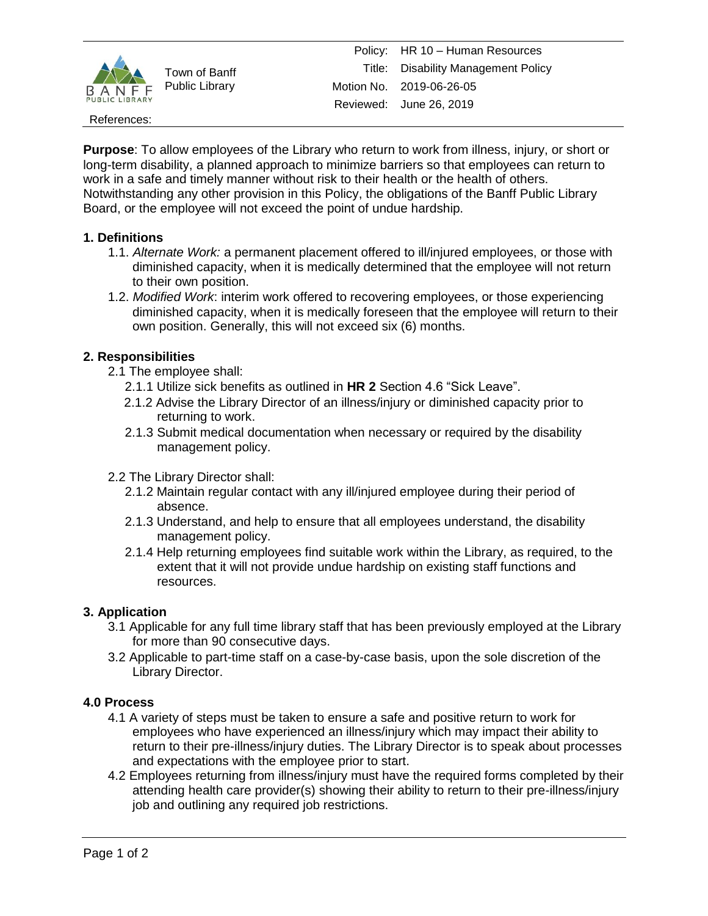

Town of Banff Public Library

References:

**Purpose**: To allow employees of the Library who return to work from illness, injury, or short or long-term disability, a planned approach to minimize barriers so that employees can return to work in a safe and timely manner without risk to their health or the health of others. Notwithstanding any other provision in this Policy, the obligations of the Banff Public Library Board, or the employee will not exceed the point of undue hardship.

## **1. Definitions**

- 1.1. *Alternate Work:* a permanent placement offered to ill/injured employees, or those with diminished capacity, when it is medically determined that the employee will not return to their own position.
- 1.2. *Modified Work*: interim work offered to recovering employees, or those experiencing diminished capacity, when it is medically foreseen that the employee will return to their own position. Generally, this will not exceed six (6) months.

## **2. Responsibilities**

- 2.1 The employee shall:
	- 2.1.1 Utilize sick benefits as outlined in **HR 2** Section 4.6 "Sick Leave".
	- 2.1.2 Advise the Library Director of an illness/injury or diminished capacity prior to returning to work.
	- 2.1.3 Submit medical documentation when necessary or required by the disability management policy.
- 2.2 The Library Director shall:
	- 2.1.2 Maintain regular contact with any ill/injured employee during their period of absence.
	- 2.1.3 Understand, and help to ensure that all employees understand, the disability management policy.
	- 2.1.4 Help returning employees find suitable work within the Library, as required, to the extent that it will not provide undue hardship on existing staff functions and resources.

## **3. Application**

- 3.1 Applicable for any full time library staff that has been previously employed at the Library for more than 90 consecutive days.
- 3.2 Applicable to part-time staff on a case-by-case basis, upon the sole discretion of the Library Director.

## **4.0 Process**

- 4.1 A variety of steps must be taken to ensure a safe and positive return to work for employees who have experienced an illness/injury which may impact their ability to return to their pre-illness/injury duties. The Library Director is to speak about processes and expectations with the employee prior to start.
- 4.2 Employees returning from illness/injury must have the required forms completed by their attending health care provider(s) showing their ability to return to their pre-illness/injury job and outlining any required job restrictions.